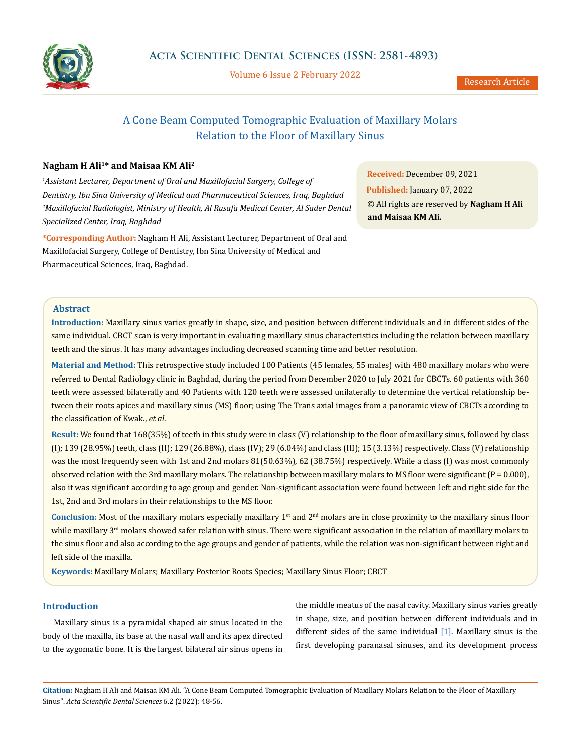

Volume 6 Issue 2 February 2022

# A Cone Beam Computed Tomographic Evaluation of Maxillary Molars Relation to the Floor of Maxillary Sinus

# **Nagham H Ali1\* and Maisaa KM Ali2**

*1 Assistant Lecturer, Department of Oral and Maxillofacial Surgery, College of Dentistry, Ibn Sina University of Medical and Pharmaceutical Sciences, Iraq, Baghdad 2 Maxillofacial Radiologist, Ministry of Health, Al Rusafa Medical Center, Al Sader Dental Specialized Center, Iraq, Baghdad*

**\*Corresponding Author:** Nagham H Ali, Assistant Lecturer, Department of Oral and Maxillofacial Surgery, College of Dentistry, Ibn Sina University of Medical and Pharmaceutical Sciences, Iraq, Baghdad.

**Received:** December 09, 2021 **Published:** January 07, 2022 © All rights are reserved by **Nagham H Ali and Maisaa KM Ali***.*

## **Abstract**

**Introduction:** Maxillary sinus varies greatly in shape, size, and position between different individuals and in different sides of the same individual. CBCT scan is very important in evaluating maxillary sinus characteristics including the relation between maxillary teeth and the sinus. It has many advantages including decreased scanning time and better resolution.

**Material and Method:** This retrospective study included 100 Patients (45 females, 55 males) with 480 maxillary molars who were referred to Dental Radiology clinic in Baghdad, during the period from December 2020 to July 2021 for CBCTs. 60 patients with 360 teeth were assessed bilaterally and 40 Patients with 120 teeth were assessed unilaterally to determine the vertical relationship between their roots apices and maxillary sinus (MS) floor; using The Trans axial images from a panoramic view of CBCTs according to the classification of Kwak., *et al*.

**Result:** We found that 168(35%) of teeth in this study were in class (V) relationship to the floor of maxillary sinus, followed by class (I); 139 (28.95%) teeth, class (II); 129 (26.88%), class (IV); 29 (6.04%) and class (III); 15 (3.13%) respectively. Class (V) relationship was the most frequently seen with 1st and 2nd molars 81(50.63%), 62 (38.75%) respectively. While a class (I) was most commonly observed relation with the 3rd maxillary molars. The relationship between maxillary molars to MS floor were significant ( $P = 0.000$ ), also it was significant according to age group and gender. Non-significant association were found between left and right side for the 1st, 2nd and 3rd molars in their relationships to the MS floor.

Conclusion: Most of the maxillary molars especially maxillary 1<sup>st</sup> and 2<sup>nd</sup> molars are in close proximity to the maxillary sinus floor while maxillary  $3<sup>rd</sup>$  molars showed safer relation with sinus. There were significant association in the relation of maxillary molars to the sinus floor and also according to the age groups and gender of patients, while the relation was non-significant between right and left side of the maxilla.

**Keywords:** Maxillary Molars; Maxillary Posterior Roots Species; Maxillary Sinus Floor; CBCT

# **Introduction**

Maxillary sinus is a pyramidal shaped air sinus located in the body of the maxilla, its base at the nasal wall and its apex directed to the zygomatic bone. It is the largest bilateral air sinus opens in the middle meatus of the nasal cavity. Maxillary sinus varies greatly in shape, size, and position between different individuals and in different sides of the same individual [1]. Maxillary sinus is the first developing paranasal sinuses, and its development process

**Citation:** Nagham H Ali and Maisaa KM Ali*.* "A Cone Beam Computed Tomographic Evaluation of Maxillary Molars Relation to the Floor of Maxillary Sinus". *Acta Scientific Dental Sciences* 6.2 (2022): 48-56.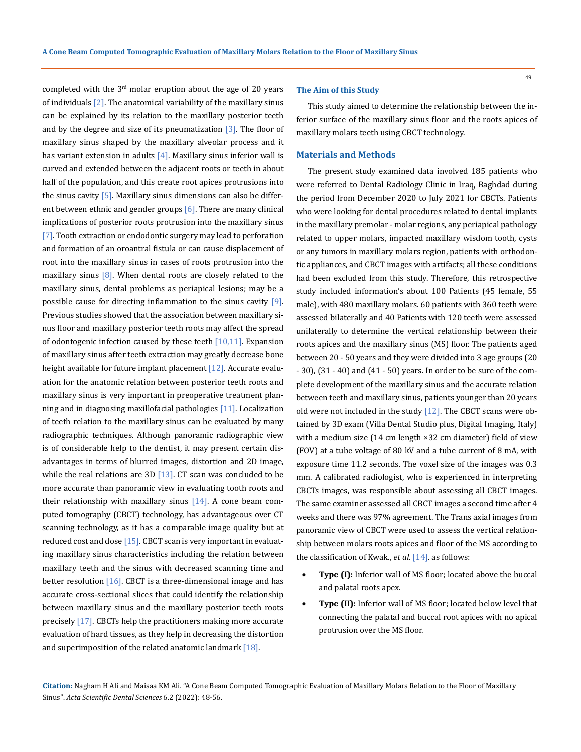completed with the  $3<sup>rd</sup>$  molar eruption about the age of 20 years of individuals  $[2]$ . The anatomical variability of the maxillary sinus can be explained by its relation to the maxillary posterior teeth and by the degree and size of its pneumatization  $[3]$ . The floor of maxillary sinus shaped by the maxillary alveolar process and it has variant extension in adults  $[4]$ . Maxillary sinus inferior wall is curved and extended between the adjacent roots or teeth in about half of the population, and this create root apices protrusions into the sinus cavity  $[5]$ . Maxillary sinus dimensions can also be different between ethnic and gender groups [6]. There are many clinical implications of posterior roots protrusion into the maxillary sinus [7]. Tooth extraction or endodontic surgery may lead to perforation and formation of an oroantral fistula or can cause displacement of root into the maxillary sinus in cases of roots protrusion into the maxillary sinus  $[8]$ . When dental roots are closely related to the maxillary sinus, dental problems as periapical lesions; may be a possible cause for directing inflammation to the sinus cavity [9]. Previous studies showed that the association between maxillary sinus floor and maxillary posterior teeth roots may affect the spread of odontogenic infection caused by these teeth  $[10,11]$ . Expansion of maxillary sinus after teeth extraction may greatly decrease bone height available for future implant placement [12]. Accurate evaluation for the anatomic relation between posterior teeth roots and maxillary sinus is very important in preoperative treatment planning and in diagnosing maxillofacial pathologies [11]. Localization of teeth relation to the maxillary sinus can be evaluated by many radiographic techniques. Although panoramic radiographic view is of considerable help to the dentist, it may present certain disadvantages in terms of blurred images, distortion and 2D image, while the real relations are  $3D$  [13]. CT scan was concluded to be more accurate than panoramic view in evaluating tooth roots and their relationship with maxillary sinus  $[14]$ . A cone beam computed tomography (CBCT) technology, has advantageous over CT scanning technology, as it has a comparable image quality but at reduced cost and dose  $[15]$ . CBCT scan is very important in evaluating maxillary sinus characteristics including the relation between maxillary teeth and the sinus with decreased scanning time and better resolution  $[16]$ . CBCT is a three-dimensional image and has accurate cross-sectional slices that could identify the relationship between maxillary sinus and the maxillary posterior teeth roots precisely [17]. CBCTs help the practitioners making more accurate evaluation of hard tissues, as they help in decreasing the distortion and superimposition of the related anatomic landmark [18].

#### **The Aim of this Study**

This study aimed to determine the relationship between the inferior surface of the maxillary sinus floor and the roots apices of maxillary molars teeth using CBCT technology.

#### **Materials and Methods**

The present study examined data involved 185 patients who were referred to Dental Radiology Clinic in Iraq, Baghdad during the period from December 2020 to July 2021 for CBCTs. Patients who were looking for dental procedures related to dental implants in the maxillary premolar - molar regions, any periapical pathology related to upper molars, impacted maxillary wisdom tooth, cysts or any tumors in maxillary molars region, patients with orthodontic appliances, and CBCT images with artifacts; all these conditions had been excluded from this study. Therefore, this retrospective study included information's about 100 Patients (45 female, 55 male), with 480 maxillary molars. 60 patients with 360 teeth were assessed bilaterally and 40 Patients with 120 teeth were assessed unilaterally to determine the vertical relationship between their roots apices and the maxillary sinus (MS) floor. The patients aged between 20 - 50 years and they were divided into 3 age groups (20 - 30), (31 - 40) and (41 - 50) years. In order to be sure of the complete development of the maxillary sinus and the accurate relation between teeth and maxillary sinus, patients younger than 20 years old were not included in the study  $[12]$ . The CBCT scans were obtained by 3D exam (Villa Dental Studio plus, Digital Imaging, Italy) with a medium size (14 cm length ×32 cm diameter) field of view (FOV) at a tube voltage of 80 kV and a tube current of 8 mA, with exposure time 11.2 seconds. The voxel size of the images was 0.3 mm. A calibrated radiologist, who is experienced in interpreting CBCTs images, was responsible about assessing all CBCT images. The same examiner assessed all CBCT images a second time after 4 weeks and there was 97% agreement. The Trans axial images from panoramic view of CBCT were used to assess the vertical relationship between molars roots apices and floor of the MS according to the classification of Kwak., *et al.* [14]. as follows:

- **Type (I):** Inferior wall of MS floor; located above the buccal and palatal roots apex.
- **Type (II):** Inferior wall of MS floor; located below level that connecting the palatal and buccal root apices with no apical protrusion over the MS floor.

**Citation:** Nagham H Ali and Maisaa KM Ali*.* "A Cone Beam Computed Tomographic Evaluation of Maxillary Molars Relation to the Floor of Maxillary Sinus". *Acta Scientific Dental Sciences* 6.2 (2022): 48-56.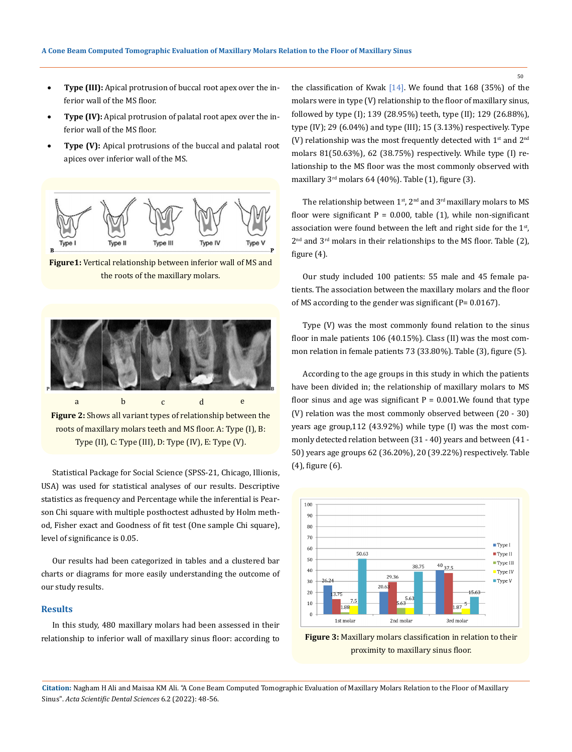- Type (III): Apical protrusion of buccal root apex over the inferior wall of the MS floor.
- **Type (IV):** Apical protrusion of palatal root apex over the inferior wall of the MS floor.
- **Type (V):** Apical protrusions of the buccal and palatal root apices over inferior wall of the MS.



**Figure1:** Vertical relationship between inferior wall of MS and the roots of the maxillary molars.



roots of maxillary molars teeth and MS floor. A: Type (I), B: Type (II), C: Type (III), D: Type (IV), E: Type (V).

Statistical Package for Social Science (SPSS-21, Chicago, Illionis, USA) was used for statistical analyses of our results. Descriptive statistics as frequency and Percentage while the inferential is Pearson Chi square with multiple posthoctest adhusted by Holm method, Fisher exact and Goodness of fit test (One sample Chi square), level of significance is 0.05.

Our results had been categorized in tables and a clustered bar charts or diagrams for more easily understanding the outcome of our study results.

# **Results**

In this study, 480 maxillary molars had been assessed in their relationship to inferior wall of maxillary sinus floor: according to the classification of Kwak  $[14]$ . We found that 168 (35%) of the molars were in type (V) relationship to the floor of maxillary sinus, followed by type (I); 139 (28.95%) teeth, type (II); 129 (26.88%), type (IV); 29 (6.04%) and type (III); 15 (3.13%) respectively. Type (V) relationship was the most frequently detected with  $1<sup>st</sup>$  and  $2<sup>nd</sup>$ molars 81(50.63%), 62 (38.75%) respectively. While type (I) relationship to the MS floor was the most commonly observed with maxillary  $3^{rd}$  molars 64 (40%). Table (1), figure (3).

The relationship between  $1<sup>st</sup>$ ,  $2<sup>nd</sup>$  and  $3<sup>rd</sup>$  maxillary molars to MS floor were significant  $P = 0.000$ , table (1), while non-significant association were found between the left and right side for the  $1<sup>st</sup>$ ,  $2<sup>nd</sup>$  and  $3<sup>rd</sup>$  molars in their relationships to the MS floor. Table (2), figure (4).

Our study included 100 patients: 55 male and 45 female patients. The association between the maxillary molars and the floor of MS according to the gender was significant (P= 0.0167).

Type (V) was the most commonly found relation to the sinus floor in male patients 106 (40.15%). Class (II) was the most common relation in female patients 73 (33.80%). Table (3), figure (5).

According to the age groups in this study in which the patients have been divided in; the relationship of maxillary molars to MS floor sinus and age was significant  $P = 0.001$ . We found that type (V) relation was the most commonly observed between (20 - 30) years age group,112 (43.92%) while type (I) was the most commonly detected relation between (31 - 40) years and between (41 - 50) years age groups 62 (36.20%), 20 (39.22%) respectively. Table (4), figure (6).





**Citation:** Nagham H Ali and Maisaa KM Ali*.* "A Cone Beam Computed Tomographic Evaluation of Maxillary Molars Relation to the Floor of Maxillary Sinus". *Acta Scientific Dental Sciences* 6.2 (2022): 48-56.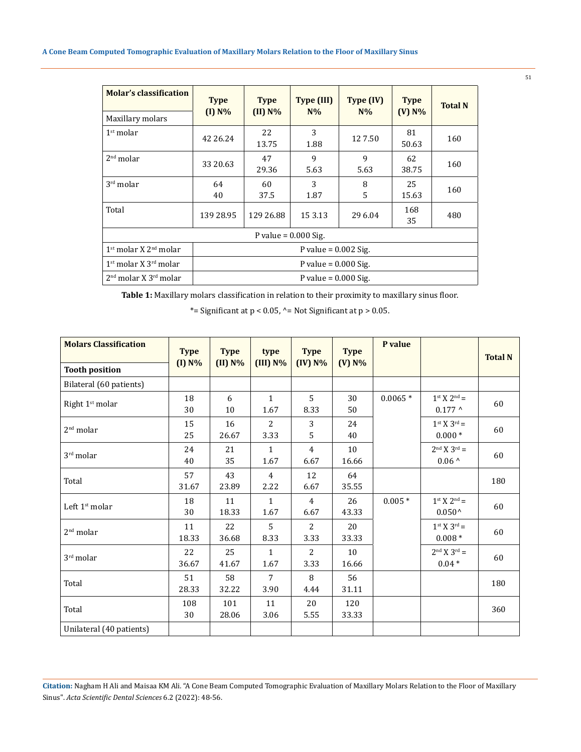| <b>Molar's classification</b> | <b>Type</b><br>$(I)$ N% | <b>Type</b><br>$(II)$ N% | Type (III)<br>$N\%$ | Type (IV)<br>$N\%$ | <b>Type</b><br>$(V)$ N% | <b>Total N</b> |  |  |  |
|-------------------------------|-------------------------|--------------------------|---------------------|--------------------|-------------------------|----------------|--|--|--|
| Maxillary molars              |                         |                          |                     |                    |                         |                |  |  |  |
| 1 <sup>st</sup> molar         | 42 26.24                | 22<br>13.75              | 3<br>1.88           | 127.50             | 81<br>50.63             | 160            |  |  |  |
| 2 <sup>nd</sup> molar         | 33 20.63                | 47<br>29.36              | 9<br>5.63           | 9<br>5.63          | 62<br>38.75             | 160            |  |  |  |
| $3rd$ molar                   | 64<br>40                | 60<br>37.5               | 3<br>1.87           | 8<br>5             | 25<br>15.63             | 160            |  |  |  |
| Total                         | 139 28.95               | 129 26.88                | 15 3.13             | 29 6.04            | 168<br>35               | 480            |  |  |  |
| P value = $0.000$ Sig.        |                         |                          |                     |                    |                         |                |  |  |  |
| $1st$ molar X $2nd$ molar     | P value = $0.002$ Sig.  |                          |                     |                    |                         |                |  |  |  |
| $1st$ molar X $3rd$ molar     | P value = $0.000$ Sig.  |                          |                     |                    |                         |                |  |  |  |
| $2nd$ molar X $3rd$ molar     | P value = $0.000$ Sig.  |                          |                     |                    |                         |                |  |  |  |

**Table 1:** Maxillary molars classification in relation to their proximity to maxillary sinus floor.

\*= Significant at  $p < 0.05$ , ^= Not Significant at  $p > 0.05$ .

| <b>Molars Classification</b> | <b>Type</b> | <b>Type</b>  | type                   | <b>Type</b>            | <b>Type</b>  | P value   |                                           | <b>Total N</b> |
|------------------------------|-------------|--------------|------------------------|------------------------|--------------|-----------|-------------------------------------------|----------------|
| <b>Tooth position</b>        | $(I)$ N%    | $(II)$ N%    | $(III) N\%$            | $(IV)$ N%              | $(V)$ N%     |           |                                           |                |
| Bilateral (60 patients)      |             |              |                        |                        |              |           |                                           |                |
| Right 1 <sup>st</sup> molar  | 18<br>30    | 6<br>10      | $\mathbf{1}$<br>1.67   | $\overline{5}$<br>8.33 | 30<br>50     | $0.0065*$ | $1^{st}$ X $2^{nd}$ =<br>$0.177^{\wedge}$ | 60             |
| 2 <sup>nd</sup> molar        | 15<br>25    | 16<br>26.67  | $\overline{2}$<br>3.33 | 3<br>5                 | 24<br>40     |           | $1^{st}$ X $3^{rd}$ =<br>$0.000*$         | 60             |
| $3rd$ molar                  | 24<br>40    | 21<br>35     | $\mathbf{1}$<br>1.67   | $\overline{4}$<br>6.67 | 10<br>16.66  |           | $2nd X 3rd =$<br>$0.06$ ^                 | 60             |
| Total                        | 57<br>31.67 | 43<br>23.89  | $\overline{4}$<br>2.22 | 12<br>6.67             | 64<br>35.55  |           |                                           | 180            |
| Left $1st$ molar             | 18<br>30    | 11<br>18.33  | $\mathbf{1}$<br>1.67   | $\overline{4}$<br>6.67 | 26<br>43.33  | $0.005*$  | $1^{st}$ X $2^{nd}$ =<br>$0.050^{\circ}$  | 60             |
| 2 <sup>nd</sup> molar        | 11<br>18.33 | 22<br>36.68  | 5<br>8.33              | 2<br>3.33              | 20<br>33.33  |           | $1^{st} X 3^{rd} =$<br>$0.008*$           | 60             |
| $3rd$ molar                  | 22<br>36.67 | 25<br>41.67  | $\mathbf{1}$<br>1.67   | $\overline{2}$<br>3.33 | 10<br>16.66  |           | $2nd X 3rd =$<br>$0.04*$                  | 60             |
| Total                        | 51<br>28.33 | 58<br>32.22  | 7<br>3.90              | 8<br>4.44              | 56<br>31.11  |           |                                           | 180            |
| Total                        | 108<br>30   | 101<br>28.06 | 11<br>3.06             | 20<br>5.55             | 120<br>33.33 |           |                                           | 360            |
| Unilateral (40 patients)     |             |              |                        |                        |              |           |                                           |                |

**Citation:** Nagham H Ali and Maisaa KM Ali*.* "A Cone Beam Computed Tomographic Evaluation of Maxillary Molars Relation to the Floor of Maxillary Sinus". *Acta Scientific Dental Sciences* 6.2 (2022): 48-56.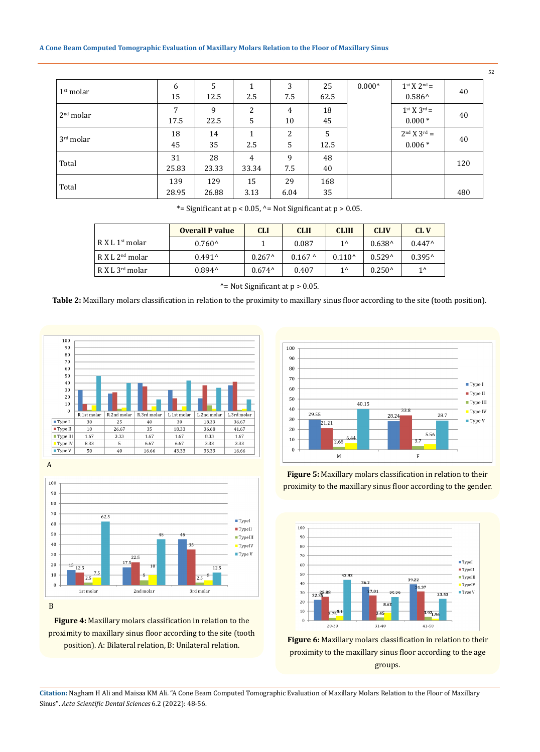#### **A Cone Beam Computed Tomographic Evaluation of Maxillary Molars Relation to the Floor of Maxillary Sinus**

| 1 <sup>st</sup> molar | 6<br>15                | 5<br>12.5    | 2.5        | 3<br>7.5   | 25<br>62.5 | $0.000*$ | $1^{st} X 2^{nd} =$<br>$0.586^{\wedge}$ | 40  |
|-----------------------|------------------------|--------------|------------|------------|------------|----------|-----------------------------------------|-----|
| 2 <sup>nd</sup> molar | $\overline{7}$<br>17.5 | 9<br>22.5    | 2<br>5     | 4<br>10    | 18<br>45   |          | $1^{st}$ X $3^{rd}$ =<br>$0.000*$       | 40  |
| $3rd$ molar           | 18<br>45               | 14<br>35     | 1<br>2.5   | 2<br>5     | 5<br>12.5  |          | $2nd X 3rd =$<br>$0.006*$               | 40  |
| Total                 | 31<br>25.83            | 28<br>23.33  | 4<br>33.34 | 9<br>7.5   | 48<br>40   |          |                                         | 120 |
| Total                 | 139<br>28.95           | 129<br>26.88 | 15<br>3.13 | 29<br>6.04 | 168<br>35  |          |                                         | 480 |

\*= Significant at  $p < 0.05$ , ^= Not Significant at  $p > 0.05$ .

|                             | <b>Overall P value</b> | CLI             | <b>CLII</b> | <b>CLIII</b>    | <b>CLIV</b>     | CL V               |
|-----------------------------|------------------------|-----------------|-------------|-----------------|-----------------|--------------------|
| R X L 1 <sup>st</sup> molar | $0.760^{\circ}$        |                 | 0.087       | $1^{\wedge}$    | $0.638^{\circ}$ | $0.447^{\circ}$    |
| R X L 2 <sup>nd</sup> molar | $0.491^$               | $0.267^{\circ}$ | $0.167$ ^   | $0.110^{\circ}$ | $0.529^$        | $0.395^{\text{A}}$ |
| R X L 3 <sup>rd</sup> molar | $0.894^{\prime}$       | $0.674^{\circ}$ | 0.407       | $1^{\wedge}$    | $0.250^{\circ}$ | $1^{\wedge}$       |

^= Not Significant at p > 0.05.

**Table 2:** Maxillary molars classification in relation to the proximity to maxillary sinus floor according to the site (tooth position).



A



B

**Figure 4:** Maxillary molars classification in relation to the proximity to maxillary sinus floor according to the site (tooth position). A: Bilateral relation, B: Unilateral relation.



**Figure 5:** Maxillary molars classification in relation to their proximity to the maxillary sinus floor according to the gender.



**Figure 6:** Maxillary molars classification in relation to their proximity to the maxillary sinus floor according to the age groups.

**Citation:** Nagham H Ali and Maisaa KM Ali*.* "A Cone Beam Computed Tomographic Evaluation of Maxillary Molars Relation to the Floor of Maxillary Sinus". *Acta Scientific Dental Sciences* 6.2 (2022): 48-56.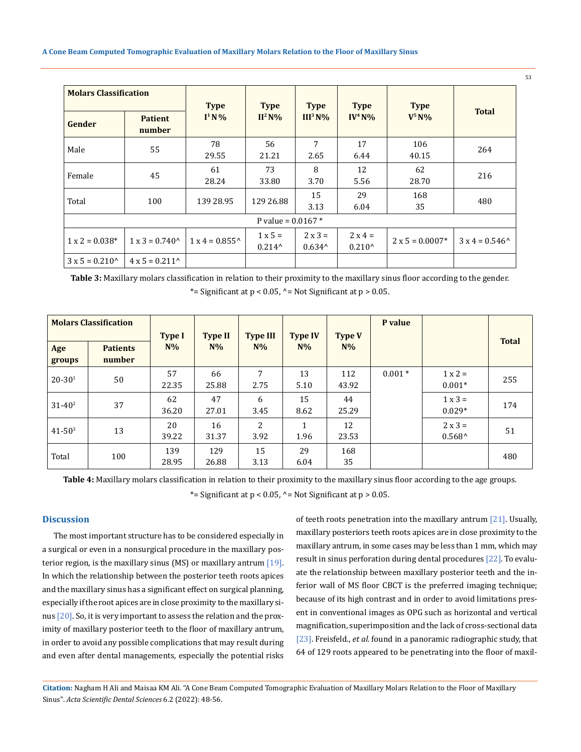| <b>Molars Classification</b> |                              | <b>Type</b>                  | <b>Type</b>                       | <b>Type</b>               | <b>Type</b>                       | <b>Type</b>            |                       |  |  |
|------------------------------|------------------------------|------------------------------|-----------------------------------|---------------------------|-----------------------------------|------------------------|-----------------------|--|--|
| Gender                       | <b>Patient</b><br>number     | $I^1N\%$                     | $II^2$ N%                         | III <sup>3</sup> N%       | $IV4 N0/0$                        | $V^5N\%$               | <b>Total</b>          |  |  |
| Male                         | 55                           | 78<br>29.55                  | 56<br>21.21                       | 7<br>2.65                 | 17<br>6.44                        | 106<br>40.15           | 264                   |  |  |
| Female                       | 45                           | 61<br>28.24                  | 73<br>33.80                       | 8<br>3.70                 | 12<br>5.56                        | 62<br>28.70            | 216                   |  |  |
| Total                        | 100                          | 139 28.95                    | 129 26.88                         | 15<br>3.13                | 29<br>6.04                        | 168<br>35              | 480                   |  |  |
| P value = $0.0167$ *         |                              |                              |                                   |                           |                                   |                        |                       |  |  |
| $1 \times 2 = 0.038*$        | $1 \times 3 = 0.740^{\circ}$ | $1 \times 4 = 0.855^{\circ}$ | $1 \times 5 =$<br>$0.214^{\circ}$ | $2x3=$<br>$0.634^{\circ}$ | $2 \times 4 =$<br>$0.210^{\circ}$ | $2 \times 5 = 0.0007*$ | $3x4 = 0.546^{\circ}$ |  |  |
| $3x5 = 0.210^{\circ}$        | $4 \times 5 = 0.211$         |                              |                                   |                           |                                   |                        |                       |  |  |

**Table 3:** Maxillary molars classification in relation to their proximity to the maxillary sinus floor according to the gender. \*= Significant at  $p < 0.05$ , ^= Not Significant at  $p > 0.05$ .

|               | <b>Molars Classification</b> | <b>Type I</b> | <b>Type II</b> | <b>Type III</b> | <b>Type IV</b>       | <b>Type V</b> | P value  |                                   | <b>Total</b> |
|---------------|------------------------------|---------------|----------------|-----------------|----------------------|---------------|----------|-----------------------------------|--------------|
| Age<br>groups | <b>Patients</b><br>number    | $N\%$         | $N\%$          | $N\%$           | $N\%$                | $N\%$         |          |                                   |              |
| $20 - 301$    | 50                           | 57<br>22.35   | 66<br>25.88    | 7<br>2.75       | 13<br>5.10           | 112<br>43.92  | $0.001*$ | $1 \times 2 =$<br>$0.001*$        | 255          |
| $31 - 40^2$   | 37                           | 62<br>36.20   | 47<br>27.01    | 6<br>3.45       | 15<br>8.62           | 44<br>25.29   |          | $1 \times 3 =$<br>$0.029*$        | 174          |
| $41 - 50^{3}$ | 13                           | 20<br>39.22   | 16<br>31.37    | 2<br>3.92       | $\mathbf{1}$<br>1.96 | 12<br>23.53   |          | $2 \times 3 =$<br>$0.568^{\circ}$ | 51           |
| Total         | 100                          | 139<br>28.95  | 129<br>26.88   | 15<br>3.13      | 29<br>6.04           | 168<br>35     |          |                                   | 480          |

**Table 4:** Maxillary molars classification in relation to their proximity to the maxillary sinus floor according to the age groups.

\*= Significant at  $p < 0.05$ , ^= Not Significant at  $p > 0.05$ .

# **Discussion**

The most important structure has to be considered especially in a surgical or even in a nonsurgical procedure in the maxillary posterior region, is the maxillary sinus (MS) or maxillary antrum  $[19]$ . In which the relationship between the posterior teeth roots apices and the maxillary sinus has a significant effect on surgical planning, especially if the root apices are in close proximity to the maxillary sinus [20]. So, it is very important to assess the relation and the proximity of maxillary posterior teeth to the floor of maxillary antrum, in order to avoid any possible complications that may result during and even after dental managements, especially the potential risks of teeth roots penetration into the maxillary antrum [21]. Usually, maxillary posteriors teeth roots apices are in close proximity to the maxillary antrum, in some cases may be less than 1 mm, which may result in sinus perforation during dental procedures [22]. To evaluate the relationship between maxillary posterior teeth and the inferior wall of MS floor CBCT is the preferred imaging technique; because of its high contrast and in order to avoid limitations present in conventional images as OPG such as horizontal and vertical magnification, superimposition and the lack of cross-sectional data [23]. Freisfeld., *et al*. found in a panoramic radiographic study, that 64 of 129 roots appeared to be penetrating into the floor of maxil-

**Citation:** Nagham H Ali and Maisaa KM Ali*.* "A Cone Beam Computed Tomographic Evaluation of Maxillary Molars Relation to the Floor of Maxillary Sinus". *Acta Scientific Dental Sciences* 6.2 (2022): 48-56.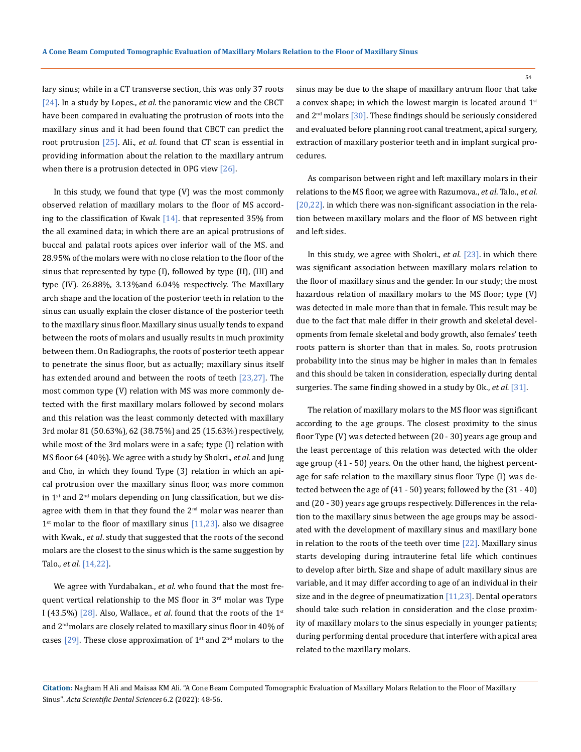lary sinus; while in a CT transverse section, this was only 37 roots [24]. In a study by Lopes., *et al*. the panoramic view and the CBCT have been compared in evaluating the protrusion of roots into the maxillary sinus and it had been found that CBCT can predict the root protrusion [25]. Ali., *et al*. found that CT scan is essential in providing information about the relation to the maxillary antrum when there is a protrusion detected in OPG view  $[26]$ .

In this study, we found that type (V) was the most commonly observed relation of maxillary molars to the floor of MS according to the classification of Kwak  $[14]$ . that represented 35% from the all examined data; in which there are an apical protrusions of buccal and palatal roots apices over inferior wall of the MS. and 28.95% of the molars were with no close relation to the floor of the sinus that represented by type (I), followed by type (II), (III) and type (IV). 26.88%, 3.13%and 6.04% respectively. The Maxillary arch shape and the location of the posterior teeth in relation to the sinus can usually explain the closer distance of the posterior teeth to the maxillary sinus floor. Maxillary sinus usually tends to expand between the roots of molars and usually results in much proximity between them. On Radiographs, the roots of posterior teeth appear to penetrate the sinus floor, but as actually; maxillary sinus itself has extended around and between the roots of teeth [23,27]. The most common type (V) relation with MS was more commonly detected with the first maxillary molars followed by second molars and this relation was the least commonly detected with maxillary 3rd molar 81 (50.63%), 62 (38.75%) and 25 (15.63%) respectively, while most of the 3rd molars were in a safe; type (I) relation with MS floor 64 (40%). We agree with a study by Shokri., *et al*. and Jung and Cho, in which they found Type (3) relation in which an apical protrusion over the maxillary sinus floor, was more common in  $1<sup>st</sup>$  and  $2<sup>nd</sup>$  molars depending on Jung classification, but we disagree with them in that they found the  $2<sup>nd</sup>$  molar was nearer than  $1<sup>st</sup>$  molar to the floor of maxillary sinus [11,23]. also we disagree with Kwak., *et al*. study that suggested that the roots of the second molars are the closest to the sinus which is the same suggestion by Talo., *et al.* [14,22].

We agree with Yurdabakan., *et al*. who found that the most frequent vertical relationship to the MS floor in 3<sup>rd</sup> molar was Type I (43.5%) [28]. Also, Wallace., *et al*. found that the roots of the 1st and 2<sup>nd</sup> molars are closely related to maxillary sinus floor in 40% of cases  $[29]$ . These close approximation of 1<sup>st</sup> and 2<sup>nd</sup> molars to the sinus may be due to the shape of maxillary antrum floor that take a convex shape; in which the lowest margin is located around  $1<sup>st</sup>$ and  $2<sup>nd</sup>$  molars [30]. These findings should be seriously considered and evaluated before planning root canal treatment, apical surgery, extraction of maxillary posterior teeth and in implant surgical procedures.

As comparison between right and left maxillary molars in their relations to the MS floor, we agree with Razumova., *et al*. Talo., *et al.* [20,22]. in which there was non-significant association in the relation between maxillary molars and the floor of MS between right and left sides.

In this study, we agree with Shokri., *et al.* [23]. in which there was significant association between maxillary molars relation to the floor of maxillary sinus and the gender. In our study; the most hazardous relation of maxillary molars to the MS floor; type (V) was detected in male more than that in female. This result may be due to the fact that male differ in their growth and skeletal developments from female skeletal and body growth, also females' teeth roots pattern is shorter than that in males. So, roots protrusion probability into the sinus may be higher in males than in females and this should be taken in consideration, especially during dental surgeries. The same finding showed in a study by Ok., *et al.* [31].

The relation of maxillary molars to the MS floor was significant according to the age groups. The closest proximity to the sinus floor Type (V) was detected between (20 - 30) years age group and the least percentage of this relation was detected with the older age group (41 - 50) years. On the other hand, the highest percentage for safe relation to the maxillary sinus floor Type (I) was detected between the age of (41 - 50) years; followed by the (31 - 40) and (20 - 30) years age groups respectively. Differences in the relation to the maxillary sinus between the age groups may be associated with the development of maxillary sinus and maxillary bone in relation to the roots of the teeth over time  $[22]$ . Maxillary sinus starts developing during intrauterine fetal life which continues to develop after birth. Size and shape of adult maxillary sinus are variable, and it may differ according to age of an individual in their size and in the degree of pneumatization [11,23]. Dental operators should take such relation in consideration and the close proximity of maxillary molars to the sinus especially in younger patients; during performing dental procedure that interfere with apical area related to the maxillary molars.

**Citation:** Nagham H Ali and Maisaa KM Ali*.* "A Cone Beam Computed Tomographic Evaluation of Maxillary Molars Relation to the Floor of Maxillary Sinus". *Acta Scientific Dental Sciences* 6.2 (2022): 48-56.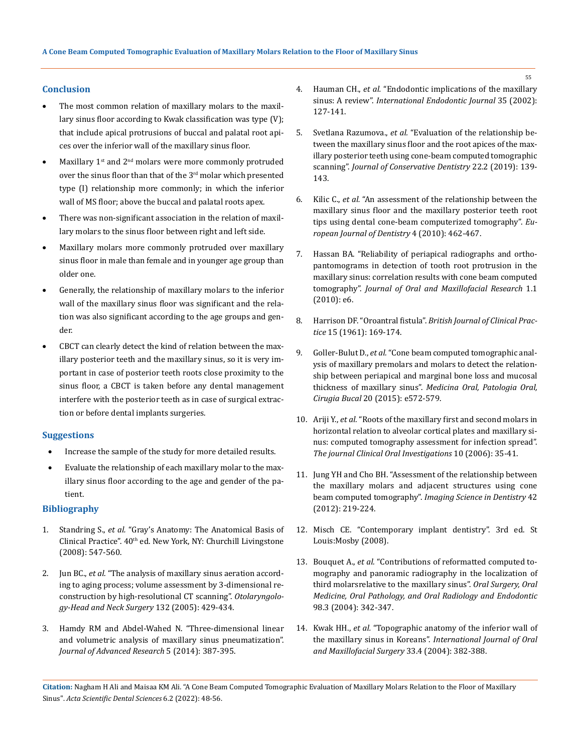# **Conclusion**

- The most common relation of maxillary molars to the maxillary sinus floor according to Kwak classification was type (V); that include apical protrusions of buccal and palatal root apices over the inferior wall of the maxillary sinus floor.
- Maxillary 1<sup>st</sup> and 2<sup>nd</sup> molars were more commonly protruded over the sinus floor than that of the 3<sup>rd</sup> molar which presented type (I) relationship more commonly; in which the inferior wall of MS floor; above the buccal and palatal roots apex.
- There was non-significant association in the relation of maxillary molars to the sinus floor between right and left side.
- Maxillary molars more commonly protruded over maxillary sinus floor in male than female and in younger age group than older one.
- Generally, the relationship of maxillary molars to the inferior wall of the maxillary sinus floor was significant and the relation was also significant according to the age groups and gender.
- • CBCT can clearly detect the kind of relation between the maxillary posterior teeth and the maxillary sinus, so it is very important in case of posterior teeth roots close proximity to the sinus floor, a CBCT is taken before any dental management interfere with the posterior teeth as in case of surgical extraction or before dental implants surgeries.

#### **Suggestions**

- Increase the sample of the study for more detailed results.
- Evaluate the relationship of each maxillary molar to the maxillary sinus floor according to the age and gender of the patient.

## **Bibliography**

- 1. Standring S., *et al.* ["Gray's Anatomy: The Anatomical Basis of](https://www.yumpu.com/xx/document/view/55652992/grays-anatomy-the-anatomical-basis-of-clinical-practice-40th-ed-pdftahir99-vrg)  Clinical Practice". 40<sup>th</sup> ed. New York, NY: Churchill Livingstone [\(2008\): 547-560.](https://www.yumpu.com/xx/document/view/55652992/grays-anatomy-the-anatomical-basis-of-clinical-practice-40th-ed-pdftahir99-vrg)
- 2. Jun BC., *et al.* ["The analysis of maxillary sinus aeration accord](https://pubmed.ncbi.nlm.nih.gov/15746857/)[ing to aging process; volume assessment by 3‑dimensional re](https://pubmed.ncbi.nlm.nih.gov/15746857/)[construction by high-resolutional CT scanning".](https://pubmed.ncbi.nlm.nih.gov/15746857/) *Otolaryngolo[gy-Head and Neck Surgery](https://pubmed.ncbi.nlm.nih.gov/15746857/)* 132 (2005): 429-434.
- 3. [Hamdy RM and Abdel-Wahed N. "Three-dimensional linear](https://pubmed.ncbi.nlm.nih.gov/25685506/)  [and volumetric analysis of maxillary sinus pneumatization".](https://pubmed.ncbi.nlm.nih.gov/25685506/)  *[Journal of Advanced Research](https://pubmed.ncbi.nlm.nih.gov/25685506/)* 5 (2014): 387-395.
- 4. Hauman CH., *et al.* ["Endodontic implications of the maxillary](https://pubmed.ncbi.nlm.nih.gov/11843967/)  sinus: A review". *[International Endodontic Journal](https://pubmed.ncbi.nlm.nih.gov/11843967/)* 35 (2002): [127-141.](https://pubmed.ncbi.nlm.nih.gov/11843967/)
- 5. Svetlana Razumova., *et al.* ["Evaluation of the relationship be](https://www.ncbi.nlm.nih.gov/pmc/articles/PMC6519191/)[tween the maxillary sinus floor and the root apices of the max](https://www.ncbi.nlm.nih.gov/pmc/articles/PMC6519191/)[illary posterior teeth using cone-beam computed tomographic](https://www.ncbi.nlm.nih.gov/pmc/articles/PMC6519191/)  scanning". *[Journal of Conservative Dentistry](https://www.ncbi.nlm.nih.gov/pmc/articles/PMC6519191/)* 22.2 (2019): 139- [143.](https://www.ncbi.nlm.nih.gov/pmc/articles/PMC6519191/)
- 6. Kilic C., *et al.* ["An assessment of the relationship between the](https://pubmed.ncbi.nlm.nih.gov/20922167/)  [maxillary sinus floor and the maxillary posterior teeth root](https://pubmed.ncbi.nlm.nih.gov/20922167/)  [tips using dental cone-beam computerized tomography".](https://pubmed.ncbi.nlm.nih.gov/20922167/) *Eu[ropean Journal of Dentistry](https://pubmed.ncbi.nlm.nih.gov/20922167/)* 4 (2010): 462-467.
- 7. [Hassan BA. "Reliability of periapical radiographs and ortho](https://www.ncbi.nlm.nih.gov/pmc/articles/PMC3886038/)[pantomograms in detection of tooth root protrusion in the](https://www.ncbi.nlm.nih.gov/pmc/articles/PMC3886038/)  [maxillary sinus: correlation results with cone beam computed](https://www.ncbi.nlm.nih.gov/pmc/articles/PMC3886038/)  tomography". *[Journal of Oral and Maxillofacial Research](https://www.ncbi.nlm.nih.gov/pmc/articles/PMC3886038/)* 1.1 [\(2010\): e6.](https://www.ncbi.nlm.nih.gov/pmc/articles/PMC3886038/)
- 8. Harrison DF. "Oroantral fistula". *[British Journal of Clinical Prac](https://pubmed.ncbi.nlm.nih.gov/13711812/)tice* [15 \(1961\): 169-174.](https://pubmed.ncbi.nlm.nih.gov/13711812/)
- 9. Goller-Bulut D., *et al.* ["Cone beam computed tomographic anal](https://pubmed.ncbi.nlm.nih.gov/26241459/)[ysis of maxillary premolars and molars to detect the relation](https://pubmed.ncbi.nlm.nih.gov/26241459/)[ship between periapical and marginal bone loss and mucosal](https://pubmed.ncbi.nlm.nih.gov/26241459/)  thickness of maxillary sinus". *[Medicina Oral, Patologia Oral,](https://pubmed.ncbi.nlm.nih.gov/26241459/)  Cirugia Bucal* [20 \(2015\): e572-579.](https://pubmed.ncbi.nlm.nih.gov/26241459/)
- 10. Ariji Y., *et al.* ["Roots of the maxillary first and second molars in](https://pubmed.ncbi.nlm.nih.gov/16362431/)  [horizontal relation to alveolar cortical plates and maxillary si](https://pubmed.ncbi.nlm.nih.gov/16362431/)[nus: computed tomography assessment for infection spread".](https://pubmed.ncbi.nlm.nih.gov/16362431/)  *[The journal Clinical Oral Investigations](https://pubmed.ncbi.nlm.nih.gov/16362431/)* 10 (2006): 35-41.
- 11. [Jung YH and Cho BH. "Assessment of the relationship between](https://www.ncbi.nlm.nih.gov/pmc/articles/PMC3534175/)  [the maxillary molars and adjacent structures using cone](https://www.ncbi.nlm.nih.gov/pmc/articles/PMC3534175/)  beam computed tomography". *[Imaging Science in Dentistry](https://www.ncbi.nlm.nih.gov/pmc/articles/PMC3534175/)* 42 [\(2012\): 219-224.](https://www.ncbi.nlm.nih.gov/pmc/articles/PMC3534175/)
- 12. [Misch CE. "Contemporary implant dentistry". 3rd ed. St](https://dentalbasket.in/contemporary_implant_dentistry_3rd_edition_)  [Louis:Mosby \(2008\).](https://dentalbasket.in/contemporary_implant_dentistry_3rd_edition_)
- 13. Bouquet A., *et al.* ["Contributions of reformatted computed to](https://pubmed.ncbi.nlm.nih.gov/15356474/)[mography and panoramic radiography in the localization of](https://pubmed.ncbi.nlm.nih.gov/15356474/)  [third molarsrelative to the maxillary sinus".](https://pubmed.ncbi.nlm.nih.gov/15356474/) *Oral Surgery, Oral [Medicine, Oral Pathology, and Oral Radiology and Endodontic](https://pubmed.ncbi.nlm.nih.gov/15356474/)* [98.3 \(2004\): 342-347.](https://pubmed.ncbi.nlm.nih.gov/15356474/)
- 14. Kwak HH., *et al.* ["Topographic anatomy of the inferior wall of](https://pubmed.ncbi.nlm.nih.gov/15145042/)  the maxillary sinus in Koreans". *[International Journal of Oral](https://pubmed.ncbi.nlm.nih.gov/15145042/)  [and Maxillofacial Surgery](https://pubmed.ncbi.nlm.nih.gov/15145042/)* 33.4 (2004): 382-388.

**Citation:** Nagham H Ali and Maisaa KM Ali*.* "A Cone Beam Computed Tomographic Evaluation of Maxillary Molars Relation to the Floor of Maxillary Sinus". *Acta Scientific Dental Sciences* 6.2 (2022): 48-56.